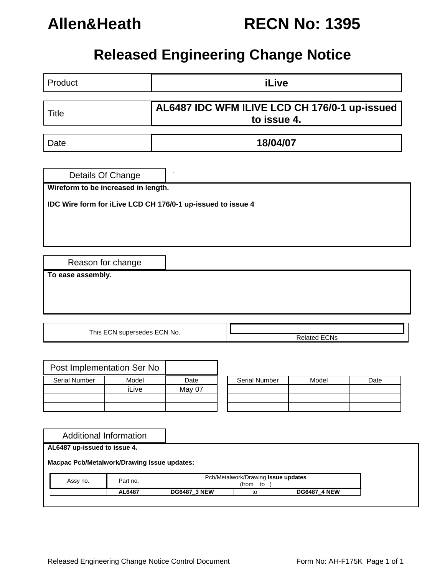

# **Allen&Heath RECN No: 1395**

## **Released Engineering Change Notice**

| Product                                                                      |       |          |  | <b>iLive</b>        |       |      |  |
|------------------------------------------------------------------------------|-------|----------|--|---------------------|-------|------|--|
| AL6487 IDC WFM ILIVE LCD CH 176/0-1 up-issued<br><b>Title</b><br>to issue 4. |       |          |  |                     |       |      |  |
| Date                                                                         |       | 18/04/07 |  |                     |       |      |  |
| Details Of Change<br>Wireform to be increased in length.                     |       |          |  |                     |       |      |  |
| IDC Wire form for iLive LCD CH 176/0-1 up-issued to issue 4                  |       |          |  |                     |       |      |  |
|                                                                              |       |          |  |                     |       |      |  |
| Reason for change                                                            |       |          |  |                     |       |      |  |
| To ease assembly.                                                            |       |          |  |                     |       |      |  |
|                                                                              |       |          |  |                     |       |      |  |
|                                                                              |       |          |  |                     |       |      |  |
| This ECN supersedes ECN No.                                                  |       |          |  | <b>Related ECNs</b> |       |      |  |
|                                                                              |       |          |  |                     |       |      |  |
| Post Implementation Ser No                                                   |       |          |  |                     |       |      |  |
| <b>Serial Number</b>                                                         | Model | Date     |  | Serial Number       | Model | Date |  |
|                                                                              | iLive | May 07   |  |                     |       |      |  |
|                                                                              |       |          |  |                     |       |      |  |
|                                                                              |       |          |  |                     |       |      |  |
| <b>Additional Information</b>                                                |       |          |  |                     |       |      |  |
| AL6487 up-issued to issue 4.                                                 |       |          |  |                     |       |      |  |

Released Engineering Change Notice Control Document Form No: AH-F175K Page 1 of 1

Assy no. **Part no.** Pcb/Metalwork/Drawing **Issue updates** 

 $(from_ to_$ )

**AL6487 DG6487\_3 NEW** to **DG6487\_4 NEW** 

**Macpac Pcb/Metalwork/Drawing Issue updates:**